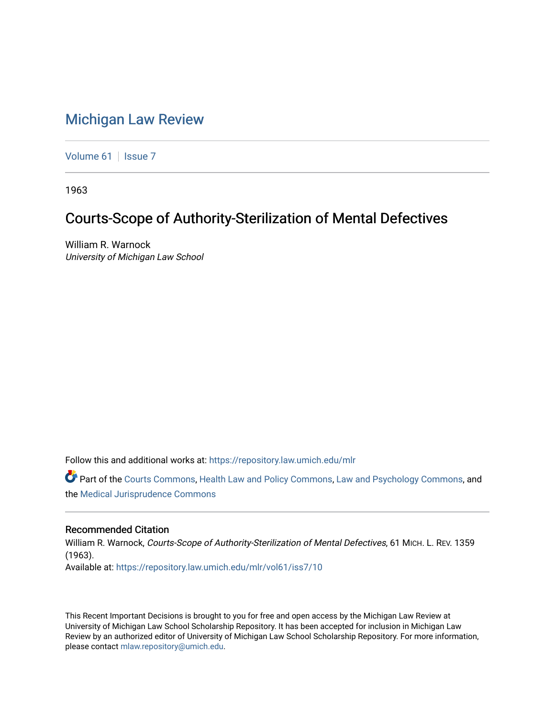## [Michigan Law Review](https://repository.law.umich.edu/mlr)

[Volume 61](https://repository.law.umich.edu/mlr/vol61) | [Issue 7](https://repository.law.umich.edu/mlr/vol61/iss7)

1963

## Courts-Scope of Authority-Sterilization of Mental Defectives

William R. Warnock University of Michigan Law School

Follow this and additional works at: [https://repository.law.umich.edu/mlr](https://repository.law.umich.edu/mlr?utm_source=repository.law.umich.edu%2Fmlr%2Fvol61%2Fiss7%2F10&utm_medium=PDF&utm_campaign=PDFCoverPages) 

Part of the [Courts Commons,](http://network.bepress.com/hgg/discipline/839?utm_source=repository.law.umich.edu%2Fmlr%2Fvol61%2Fiss7%2F10&utm_medium=PDF&utm_campaign=PDFCoverPages) [Health Law and Policy Commons,](http://network.bepress.com/hgg/discipline/901?utm_source=repository.law.umich.edu%2Fmlr%2Fvol61%2Fiss7%2F10&utm_medium=PDF&utm_campaign=PDFCoverPages) [Law and Psychology Commons,](http://network.bepress.com/hgg/discipline/870?utm_source=repository.law.umich.edu%2Fmlr%2Fvol61%2Fiss7%2F10&utm_medium=PDF&utm_campaign=PDFCoverPages) and the [Medical Jurisprudence Commons](http://network.bepress.com/hgg/discipline/860?utm_source=repository.law.umich.edu%2Fmlr%2Fvol61%2Fiss7%2F10&utm_medium=PDF&utm_campaign=PDFCoverPages)

## Recommended Citation

William R. Warnock, Courts-Scope of Authority-Sterilization of Mental Defectives, 61 MICH. L. REV. 1359 (1963). Available at: [https://repository.law.umich.edu/mlr/vol61/iss7/10](https://repository.law.umich.edu/mlr/vol61/iss7/10?utm_source=repository.law.umich.edu%2Fmlr%2Fvol61%2Fiss7%2F10&utm_medium=PDF&utm_campaign=PDFCoverPages) 

This Recent Important Decisions is brought to you for free and open access by the Michigan Law Review at University of Michigan Law School Scholarship Repository. It has been accepted for inclusion in Michigan Law Review by an authorized editor of University of Michigan Law School Scholarship Repository. For more information, please contact [mlaw.repository@umich.edu.](mailto:mlaw.repository@umich.edu)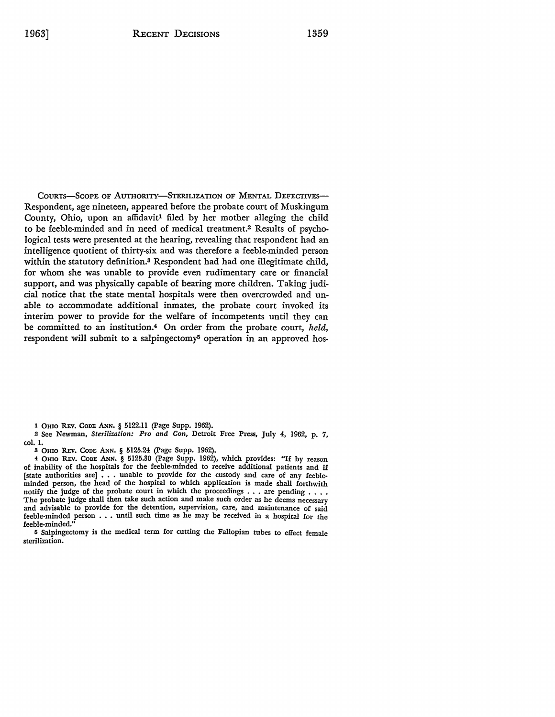COURTS-SCOPE OF AUTHORITY-STERILIZATION OF MENTAL DEFECTIVES-Respondent, age nineteen, appeared before the probate court of Muskingum County, Ohio, upon an affidavit<sup>1</sup> filed by her mother alleging the child to be feeble-minded and in need of medical treatment.2 Results of psychological tests were presented at the hearing, revealing that respondent had an intelligence quotient of thirty-six and was therefore a feeble-minded person within the statutory definition.3 Respondent had had one illegitimate child, for whom she was unable to provide even rudimentary care or financial support, and was physically capable of bearing more children. Taking judicial notice that the state mental hospitals were then overcrowded and unable to accommodate additional inmates, the probate court invoked its interim power to provide for the welfare of incompetents until they can be committed to an institution.• On order from the probate court, *held,*  respondent will submit to a salpingectomy<sup>5</sup> operation in an approved hos-

1 OHIO REV. CODE ANN. § 5122.11 (Page Supp. 1962).

2 See Newman, *Sterili:ation: Pro and Con,* Detroit Free Press, July 4, 1962, p. 7, col. 1.

s OHIO REv. CODE ANN. § 5125.24 (Page Supp. 1962).

4 OHIO REV. CODE ANN. § 5125.30 (Page Supp. 1962), which provides: "If by reason of inability of the hospitals for the feeble-minded to receive additional patients and if [state authorities are] • • • unable to provide for the custody and care of any feebleminded person, the head of the hospital to which application is made shall forthwith notify the judge of the probate court in which the proceedings  $\dots$  are pending  $\dots$ The probate judge shall then take such action and make such order as he deems necessary and advisable to provide for the detention, supervision, care, and maintenance of said feeble-minded person • • • until such time as he may be received in a hospital for the feeble-minded."

5 Salpingectomy is the medical term for cutting the Fallopian tubes to effect female sterilization.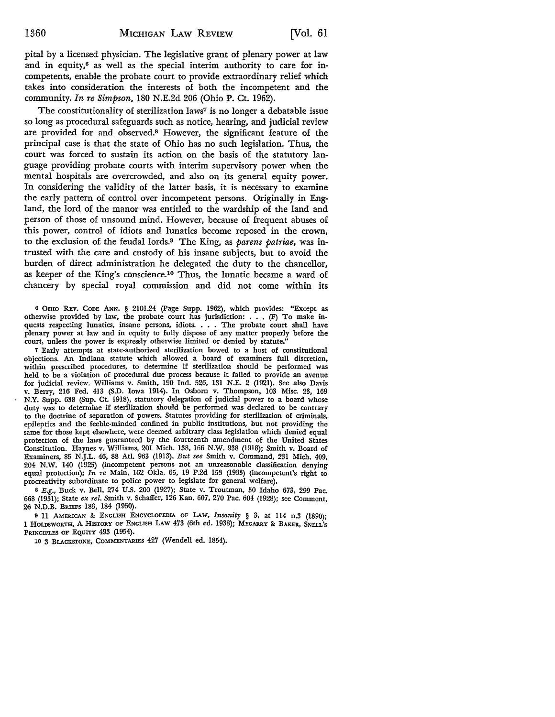pital by a licensed physician. The legislative grant of plenary power at law and in equity, $6$  as well as the special interim authority to care for incompetents, enable the probate court to provide extraordinary relief which takes into consideration the interests of both the incompetent and the community. *In re Simpson,* 180 N.E.2d 206 (Ohio P. Ct. 1962).

The constitutionality of sterilization laws<sup>7</sup> is no longer a debatable issue so long as procedural safeguards such as notice, hearing, and judicial review are provided for and observed.8 However, the significant feature of the principal case is that the state of Ohio has no such legislation. Thus, the court was forced to sustain its action on the basis of the statutory language providing probate courts with interim supervisory power when the mental hospitals are overcrowded, and also on its general equity power. In considering the validity of the latter basis, it is necessary to examine the early pattern of control over incompetent persons. Originally in England, the lord of the manor was entitled to the wardship of the land and person of those of unsound mind. However, because of frequent abuses of this power, control of idiots and lunatics become reposed in the crown, to the exclusion of the feudal lords.9 The King, as *parens patriae,* was intrusted with the care and custody of his insane subjects, but to avoid the burden of direct administration he delegated the duty to the chancellor, as keeper of the King's conscience.10 Thus, the lunatic became a ward of chancery by special royal commission and did not come within its

<sup>6</sup>Omo R.Ev. CoDE ANN. § 2101.24 (Page Supp. 1962), which provides: "Except as otherwise provided by law, the probate court has jurisdiction: . . . (F) To make inquests respecting lunatics, insane persons, idiots. . . . The probate court shall have plenary power at law and in equity to fully dispose of any matter properly before the court, unless the power is expressly otherwise limited or denied by statute."

<sup>7</sup>Early attempts at state-authorized sterilization bowed to a host of constitutional objections. An Indiana statute which allowed a board of examiners full discretion, within prescribed procedures, to determine if sterilization should be performed was held to be a violation of procedural due process because it failed to provide an avenue for judicial review. Williams v. Smith, 190 Ind. 526, 131 N.E. 2 (1921). See also Davis v. Berry, 216 Fed. 413 (S.D. Iowa 1914). In Osborn v. Thompson, 103 Misc. 23, 169 , N.Y. Supp. 638 (Sup. Ct. 1918), statutory delegation of judicial power to a board whose duty was to determine if sterilization should be performed was declared to be contrary to the doctrine of separation of powers. Statutes providing for sterilization of criminals, epileptics and the feeble-minded confined in public institutions, but not providing the same for those kept elsewhere, were deemed arbitrary class legislation which denied equal protection of the laws guaranteed by the fourteenth amendment of the United States Constitution. Haynes v. Williams, 201 Mich. 138, 166 N.W. 938 (1918); Smith v. Board of Examiners, 85 N.J.L. 46, 88 Atl. 963 (1913). *But see* Smith v. Command, 231 Mich. 409, 204 N.W. 140 (1925) (incompetent persons not an unreasonable classification denying equal protection); *In re* Main, 162 Okla. 65, 19 P .2d 153 (1933) (incompetent's right to procreativity subordinate to police power to legislate for general welfare).

s E.g., Buck v. Bell, 274 U.S. 200 (1927); State v. Troutman, 50 Idaho 673, 299 Pac. 668 (1931); State *ex rel.* Smith v. Schaffer, 126 Kan. 607, 270 Pac. 604 (1928); see Comment, 26 N.D.B. BRIEFS 183, 184 (1950).

9 11 AMERICAN & ENGLISH ENCYCLOPEDIA OF LAW, *Insanity* § 3, at 114 n.3 (1890); l HOLDSWORTH, A HISTORY OF ENGLISH LAW 473 (6th ed. 1938); MEGARRY & BAKER, SNELL'S PRINCIPLES OF EQUITY 493 (1954).

10 3 BLACKSTONE, COMMENTARIES 427 (Wendell ed. 1854).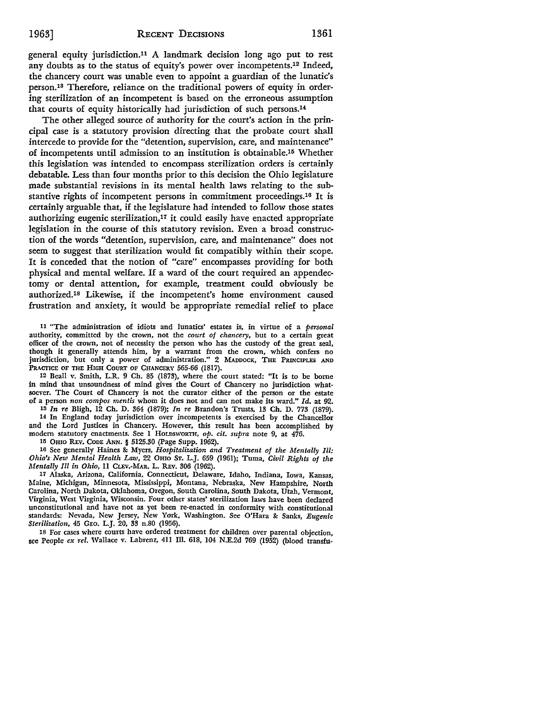general equity jurisdiction.11 A landmark decision long ago put to rest any doubts as to the status of equity's power over incompetents.12 Indeed, the chancery court was unable even to appoint a guardian of the lunatic's person.13 Therefore, reliance on the traditional powers of equity in ordering sterilization of an incompetent is based on the erroneous assumption that courts of equity historically had jurisdiction of such persons.<sup>14</sup>

The other alleged source of authority for the court's action in the principal case is a statutory provision directing that the probate court shall intercede to provide for the "detention, supervision, care, and maintenance" of incompetents until admission to an institution is obtainable.<sup>15</sup> Whether this legislation was intended to encompass sterilization orders is certainly debatable. Less than four months prior to this decision the Ohio legislature made substantial revisions in its mental health laws relating to the substantive rights of incompetent persons in commitment proceedings.16 It is certainly arguable that, if the legislature had intended to follow those states authorizing eugenic sterilization,17 it could easily have enacted appropriate legislation in the course of this statutory revision. Even a broad construction of the words "detention, supervision, care, and maintenance" does not seem to suggest that sterilization would fit compatibly within their scope. It is conceded that the notion of "care" encompasses providing for both physical and mental welfare. If a ward of the court required an appendectomy or dental attention, for example, treatment could obviously be authorized.18 Likewise, if the incompetent's home environment caused frustration and anxiety, it would be appropriate remedial relief to place

11 "The administration of idiots and lunatics' estates is, in virtue of a *personal*  authority, committed by the crown, not the *court of chancery,* but to a certain great officer of the crown, not of necessity the person who has the custody of the great seal, though it generally attends him, by a warrant from the crown, which confers no jurisdiction, but only a power of administration." 2 MADDOCK, THE PRINCIPLES AND PRACTICE OF THE HIGH COURT OF CHANCERY 565-66 (1817).

12 Beall v. Smith, L.R. 9 Ch. 85 (1873), where the court stated: "It is to be borne in mind that unsoundness of mind gives the Court of Chancery no jurisdiction whatsoever. The Court of Chancery is not the curator either of the person or the estate of a person *non compos mentis* whom it does not and can not make its ward." *Id.* at 92.

13 *In re* Bligh, 12 Ch. D. 364 (1879); *In re* Brandon's Trusts, 13 Ch. D. 773 (1879). <sup>14</sup>In England today jurisdiction over incompetents is exercised by the Chancellor and the Lord Justices in Chancery. However, this result has been accomplished by modern statutory enactments. See 1 HOLDSWORTH, *op. cit. supra* note 9, at 476.

111 Omo REv. CODE ANN. § 5125.30 (Page Supp. 1962).

16 See generally Haines &: Myers, *Hospitalization and Treatment of the Mentally Ill: Ohio's New Mental Health Law,* 22 Omo ST. L.J. 659 (1961); Tuma, *Civil Rights of the Mentally Ill in Ohio,* 11 CLEV.-MAR. L. REv. 306 (1962).

17 Alaska, Arizona, California, Connecticut, Delaware, Idaho, Indiana, Iowa, Kansas, Maine, Michigan, Minnesota, Mississippi, Montana, Nebraska, New Hampshire, North Carolina, North Dakota, Oklahoma, Oregon, South Carolina, South Dakota, Utah, Vermont, Virginia, West Virginia, Wisconsin. Four other states' sterilization laws have been declared unconstitutional and have not as yet been re-enacted in conformity with constitutional standards: Nevada, New Jersey, New York, 'Washington. See O'Hara &: Sanks, *Eugenic Sterilization,* 45 GEO. L.J. 20, 33 n.80 (1956).

18 For cases where courts have ordered treatment for children over parental objection, see People *ex rel.* Wallace v. Labrenz, 411 Ill. 618, 104 N.E.2d 769 (1952) (blood transfu-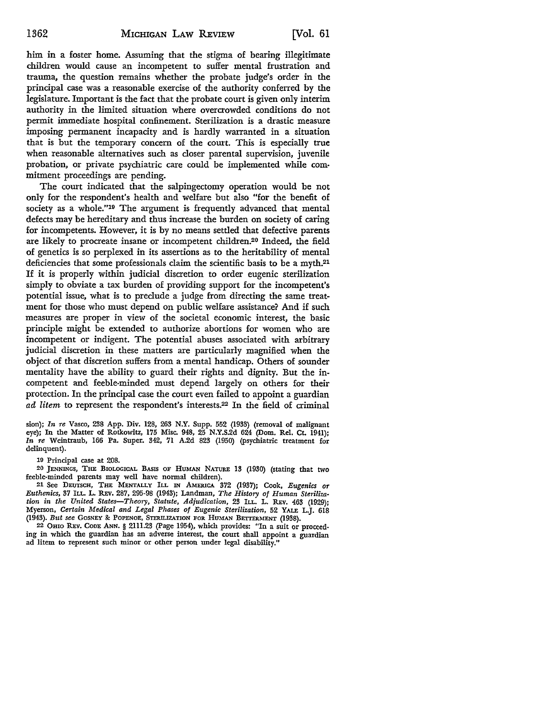him in a foster home. Assuming that the stigma of bearing illegitimate children would cause an incompetent to suffer mental frustration and trauma, the question remains whether the probate judge's order in the principal case was a reasonable exercise of the authority conferred by the legislature. Important is the fact that the probate court is given only interim authority in the limited situation where overcrowded conditions do not permit immediate hospital confinement. Sterilization is a drastic measure imposing permanent incapacity and is hardly warranted in a situation that is but the temporary concern of the court. This is especially true when reasonable alternatives such as closer parental supervision, juvenile probation, or private psychiatric care could be implemented while commitment proceedings are pending.

The court indicated that the salpingectomy operation would be not only for the respondent's health and welfare but also "for the benefit of society as a whole."19 The argument is frequently advanced that mental defects may be hereditary and thus increase the burden on society of caring for incompetents. However, it is by no means settled that defective parents are likely to procreate insane or incompetent children.20 Indeed, the field of genetics is so perplexed in its assertions as to the heritability of mental deficiencies that some professionals claim the scientific basis to be a myth.21 If it is properly within judicial discretion to order eugenic sterilization simply to obviate a tax burden of providing support for the incompetent's potential issue, what is to preclude a judge from directing the same treatment for those who must depend on public welfare assistance? And if such measures are proper in view of the societal economic interest, the basic principle might be extended to authorize abortions for women who are incompetent or indigent. The potential abuses associated with arbitrary judicial discretion in these matters are particularly magnified when the object of that discretion suffers from a mental handicap. Others of sounder mentality have the ability- to guard their rights and dignity. But the incompetent and feeble-minded must depend largely on others for their protection. In the principal case the court even failed to appoint a guardian *ad litem* to represent the respondent's interests.22 In the field of criminal

sion); *In re* Vasco, 238 App. Div. 128, 263 N.Y. Supp. 552 (1933) (removal of malignant eye); In the Matter of Rotkowitz, 175 Misc. 948, 25 N.Y.S.2d 624 (Dom. Rel. Ct. 1941); *In re* Weintraub, 166 Pa. Super. 342, 71 A.2d 823 (1950) (psychiatric treatment for delinquent).

19 Principal case at 208.

20 JENNINGS, THE BIOLOGICAL BASIS OF HUMAN NATURE 13 (1930) (stating that two feeble-minded parents may well have normal children).

21 See DEUTSCH, THE MENTALLY ILL IN AMERICA 372 (1937); Cook, *Eugenics or Euthenics,* 37 ILL. L. REv. 287, 295-98 (1943); Landman, *The History* of *Human Sterilization in the United States-Theory, Statute, Adjudication,* 23 ILL. L. REV. 463 (1929); Myerson, *Certain Medical and Legal Phases* of *Eugenic Sterilization,* 52 YALE L.J. 618 (1943). *But see* GOSNEY & POPENOE, STERILIZATION FOR HUMAN BETTERMENT (1938).

22 OHIO REv. CODE ANN.§ 2111.23 (Page 1954), which provides: "In a suit or proceeding in which the guardian has an adverse interest, the court shall appoint a guardian ad litem to represent such minor or other person under legal disability."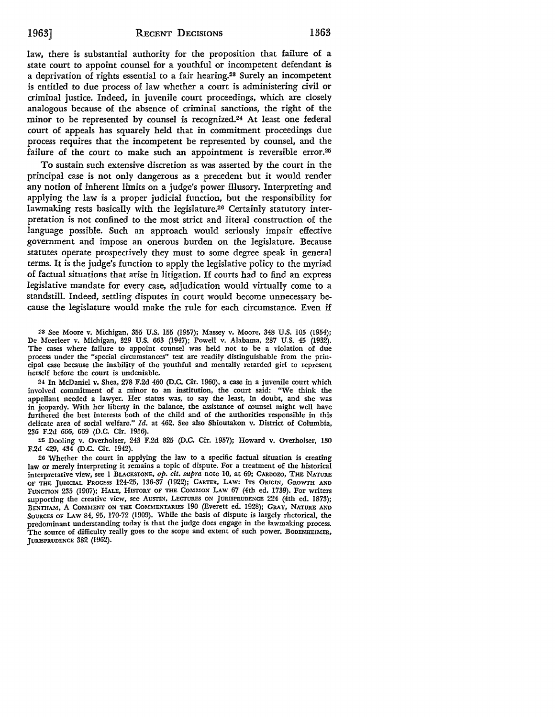law, there is substantial authority for the proposition that failure of a state court to appoint counsel for a youthful or incompetent defendant is a deprivation of rights essential to a fair hearing.28 Surely an incompetent is entitled to due process of law whether a court is administering civil or criminal justice. Indeed, in juvenile court proceedings, which are closely analogous because of the absence of criminal sanctions, the right of the minor to be represented by counsel is recognized.24 At least one federal court of appeals has squarely held that in commitment proceedings due process requires that the incompetent be represented by counsel, and the failure of the court to make such an appointment is reversible error.<sup>25</sup>

To sustain such extensive discretion as was asserted by the court in the principal case is not only dangerous as a precedent but it would render any notion of inherent limits on a judge's power illusory. Interpreting and applying the law is a proper judicial function, but the responsibility for lawmaking rests basically with the legislature.26 Certainly statutory interpretation is not confined to the most strict and literal construction of the language possible. Such an approach would seriously impair effective government and impose an onerous burden on the legislature. Because statutes operate prospectively they must to some degree speak in general terms. It is the judge's function to apply the legislative policy to the myriad of factual situations that arise in litigation. If courts had to find an express legislative mandate for every case, adjudication would virtually come to a standstill. Indeed, settling disputes in court would become unnecessary because the legislature would make the rule for each circumstance. Even if

28 See Moore v. Michigan, 355 U.S. 155 (1957); Massey v. Moore, 348 U.S. 105 (1954); De Meerleer v. Michigan, 329 U.S. 663 (1947); Powell v. Alabama, 287 U.S. 45 (1932). The cases where failure to appoint counsel was held not to be a violation of due process under the "special circumstances" test are readily distinguishable from the prin• cipal case because the inability of the youthful and mentally retarded girl to represent herself before the court is undeniable.

24 In McDaniel v. Shea, 278 F.2d 460 (D.C. Cir. 1960), a case in a juvenile court which involved commitment of a minor to an institution, the court said: "We think the appellant needed a lawyer. Her status was, to say the least, in doubt, and she was in jeopardy. 'With her liberty in the balance, the assistance of counsel might well have furthered the best interests both of the child and of the authorities responsible in this delicate area of social welfare." *Id.* at 462. See also Shioutakon v. District of Columbia, 236 F.2d 666, 669 (D.C. Cir. 1956).

2r; Dooling v. Overholser, 243 F.2d 825 (D.C. Cir. 1957); Howard v. Overholser, 130 F.2d 429, 434 (D.C. Cir. 1942).

20 Whether the court in applying the law to a specific factual situation is creating law or merely interpreting it remains a topic of dispute. For a treatment of the historical interpretative view, see 1 BLACKSTONE, *op. cit. supra* note 10, at 69; CARDozo, THE NATURE OF THE JUDICIAL PROCESS 124-25, 136-37 (1922); CARTER, LAw: ITS ORIGIN, GROWTH AND FUNCTION 235 (1907); HALE, HISTORY OF THE COMMON LAW 67 (4th ed. 1739). For writers supporting the creative view, see Ausrin, LECTURES ON JURISPRUDENCE 224 (4th ed. 1873); BENTHAM, A COMMENT ON THE COMMENTARIES 190 (Everett ed. 1928); GRAY, NATURE AND SOURCES OF LAw 84, 95, 170-72 (1909). While the basis of dispute is largely rhetorical, the predominant understanding today is that the judge does engage in the lawmaking process. The source of difficulty really goes to the scope and extent of such power. BODENHEIMER, JURISPRUDENCE 382 (1962).